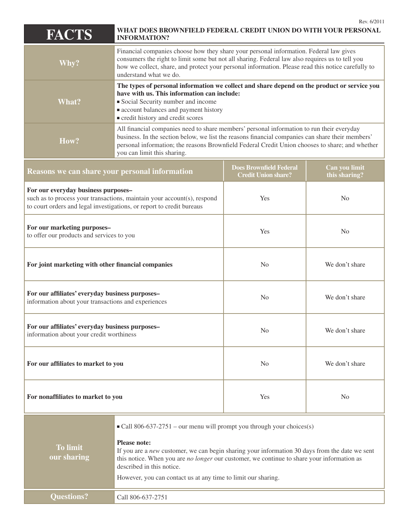| <b>FACTS</b>                                                                                                                                                                            | WHAT DOES BROWNFIELD FEDERAL CREDIT UNION DO WITH YOUR PERSONAL<br><b>INFORMATION?</b>                                                                                                                                                                                                                                                                                                                          |                                                              | Rev. 6/2011                    |
|-----------------------------------------------------------------------------------------------------------------------------------------------------------------------------------------|-----------------------------------------------------------------------------------------------------------------------------------------------------------------------------------------------------------------------------------------------------------------------------------------------------------------------------------------------------------------------------------------------------------------|--------------------------------------------------------------|--------------------------------|
| Why?                                                                                                                                                                                    | Financial companies choose how they share your personal information. Federal law gives<br>consumers the right to limit some but not all sharing. Federal law also requires us to tell you<br>how we collect, share, and protect your personal information. Please read this notice carefully to<br>understand what we do.                                                                                       |                                                              |                                |
| <b>What?</b>                                                                                                                                                                            | The types of personal information we collect and share depend on the product or service you<br>have with us. This information can include:<br>Social Security number and income<br>• account balances and payment history<br>credit history and credit scores                                                                                                                                                   |                                                              |                                |
| How?                                                                                                                                                                                    | All financial companies need to share members' personal information to run their everyday<br>business. In the section below, we list the reasons financial companies can share their members'<br>personal information; the reasons Brownfield Federal Credit Union chooses to share; and whether<br>you can limit this sharing.                                                                                 |                                                              |                                |
| Reasons we can share your personal information                                                                                                                                          |                                                                                                                                                                                                                                                                                                                                                                                                                 | <b>Does Brownfield Federal</b><br><b>Credit Union share?</b> | Can you limit<br>this sharing? |
| For our everyday business purposes-<br>such as to process your transactions, maintain your account(s), respond<br>to court orders and legal investigations, or report to credit bureaus |                                                                                                                                                                                                                                                                                                                                                                                                                 | Yes                                                          | N <sub>0</sub>                 |
| For our marketing purposes-<br>to offer our products and services to you                                                                                                                |                                                                                                                                                                                                                                                                                                                                                                                                                 | Yes                                                          | N <sub>0</sub>                 |
| For joint marketing with other financial companies                                                                                                                                      |                                                                                                                                                                                                                                                                                                                                                                                                                 | N <sub>0</sub>                                               | We don't share                 |
| For our affiliates' everyday business purposes-<br>information about your transactions and experiences                                                                                  |                                                                                                                                                                                                                                                                                                                                                                                                                 | N <sub>0</sub>                                               | We don't share                 |
| For our affiliates' everyday business purposes-<br>information about your credit worthiness                                                                                             |                                                                                                                                                                                                                                                                                                                                                                                                                 | N <sub>0</sub>                                               | We don't share                 |
| For our affiliates to market to you                                                                                                                                                     |                                                                                                                                                                                                                                                                                                                                                                                                                 | N <sub>0</sub>                                               | We don't share                 |
| For nonaffiliates to market to you                                                                                                                                                      |                                                                                                                                                                                                                                                                                                                                                                                                                 | Yes                                                          | N <sub>0</sub>                 |
| <b>To limit</b><br>our sharing                                                                                                                                                          | $\blacksquare$ Call 806-637-2751 – our menu will prompt you through your choices(s)<br><b>Please note:</b><br>If you are a new customer, we can begin sharing your information 30 days from the date we sent<br>this notice. When you are <i>no longer</i> our customer, we continue to share your information as<br>described in this notice.<br>However, you can contact us at any time to limit our sharing. |                                                              |                                |
| <b>Questions?</b>                                                                                                                                                                       | Call 806-637-2751                                                                                                                                                                                                                                                                                                                                                                                               |                                                              |                                |